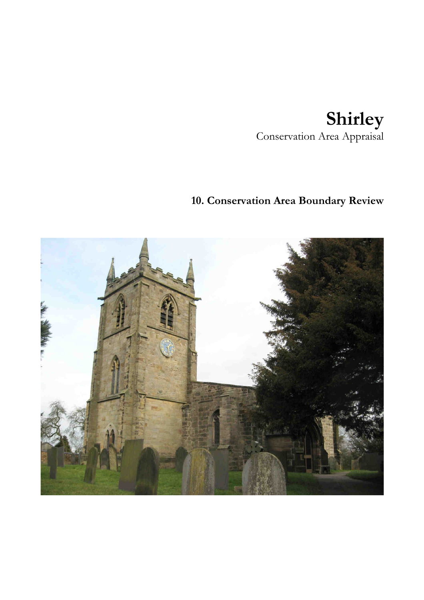# **Shirley**  Conservation Area Appraisal

## **10. Conservation Area Boundary Review**

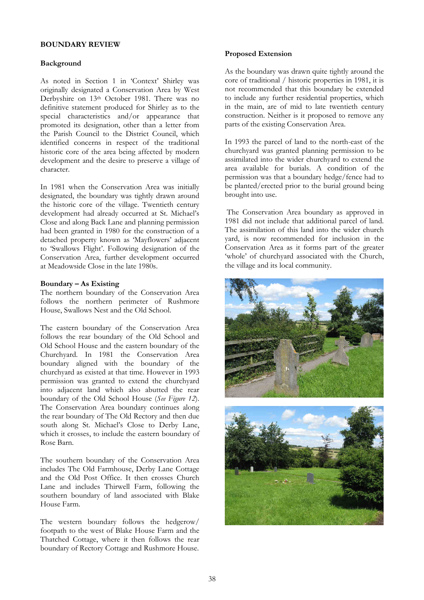#### **BOUNDARY REVIEW**

#### **Background**

As noted in Section 1 in 'Context' Shirley was originally designated a Conservation Area by West Derbyshire on 13th October 1981. There was no definitive statement produced for Shirley as to the special characteristics and/or appearance that promoted its designation, other than a letter from the Parish Council to the District Council, which identified concerns in respect of the traditional historic core of the area being affected by modern development and the desire to preserve a village of character.

In 1981 when the Conservation Area was initially designated, the boundary was tightly drawn around the historic core of the village. Twentieth century development had already occurred at St. Michael's Close and along Back Lane and planning permission had been granted in 1980 for the construction of a detached property known as 'Mayflowers' adjacent to 'Swallows Flight'. Following designation of the Conservation Area, further development occurred at Meadowside Close in the late 1980s.

#### **Boundary – As Existing**

The northern boundary of the Conservation Area follows the northern perimeter of Rushmore House, Swallows Nest and the Old School.

The eastern boundary of the Conservation Area follows the rear boundary of the Old School and Old School House and the eastern boundary of the Churchyard. In 1981 the Conservation Area boundary aligned with the boundary of the churchyard as existed at that time. However in 1993 permission was granted to extend the churchyard into adjacent land which also abutted the rear boundary of the Old School House (*See Figure 12*). The Conservation Area boundary continues along the rear boundary of The Old Rectory and then due south along St. Michael's Close to Derby Lane, which it crosses, to include the eastern boundary of Rose Barn.

The southern boundary of the Conservation Area includes The Old Farmhouse, Derby Lane Cottage and the Old Post Office. It then crosses Church Lane and includes Thirwell Farm, following the southern boundary of land associated with Blake House Farm.

The western boundary follows the hedgerow/ footpath to the west of Blake House Farm and the Thatched Cottage, where it then follows the rear boundary of Rectory Cottage and Rushmore House.

#### **Proposed Extension**

As the boundary was drawn quite tightly around the core of traditional / historic properties in 1981, it is not recommended that this boundary be extended to include any further residential properties, which in the main, are of mid to late twentieth century construction. Neither is it proposed to remove any parts of the existing Conservation Area.

In 1993 the parcel of land to the north-east of the churchyard was granted planning permission to be assimilated into the wider churchyard to extend the area available for burials. A condition of the permission was that a boundary hedge/fence had to be planted/erected prior to the burial ground being brought into use.

 The Conservation Area boundary as approved in 1981 did not include that additional parcel of land. The assimilation of this land into the wider church yard, is now recommended for inclusion in the Conservation Area as it forms part of the greater 'whole' of churchyard associated with the Church, the village and its local community.

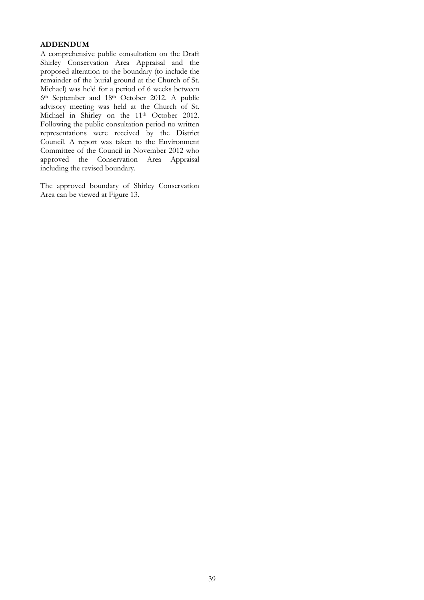### **ADDENDUM**

A comprehensive public consultation on the Draft Shirley Conservation Area Appraisal and the proposed alteration to the boundary (to include the remainder of the burial ground at the Church of St. Michael) was held for a period of 6 weeks between 6th September and 18th October 2012. A public advisory meeting was held at the Church of St. Michael in Shirley on the 11<sup>th</sup> October 2012. Following the public consultation period no written representations were received by the District Council. A report was taken to the Environment Committee of the Council in November 2012 who approved the Conservation Area Appraisal including the revised boundary.

The approved boundary of Shirley Conservation Area can be viewed at Figure 13.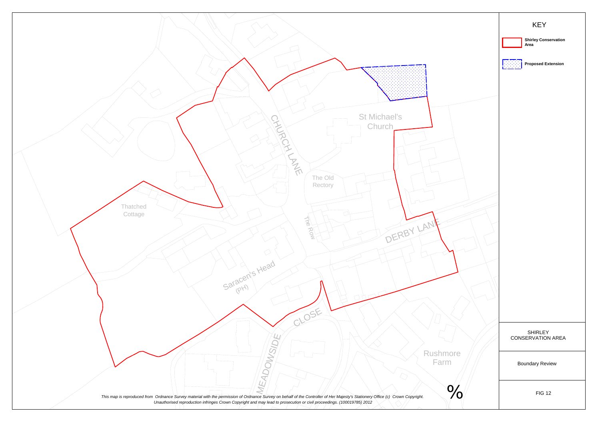